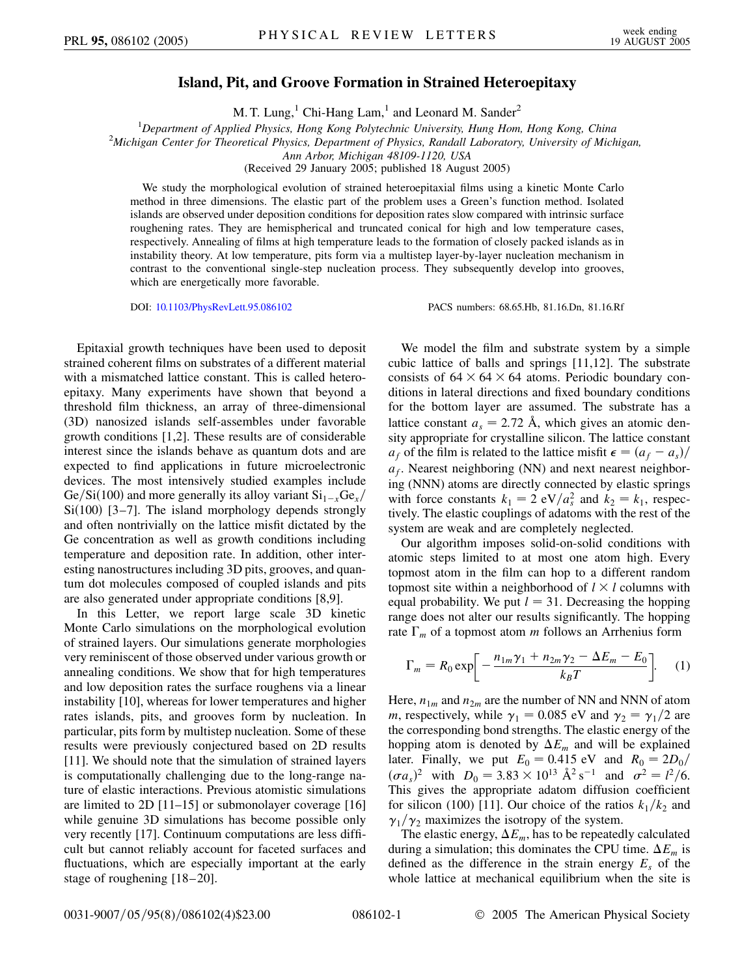## **Island, Pit, and Groove Formation in Strained Heteroepitaxy**

M. T. Lung, $<sup>1</sup>$  Chi-Hang Lam, $<sup>1</sup>$  and Leonard M. Sander<sup>2</sup></sup></sup>

<sup>1</sup> Department of Applied Physics, Hong Kong Polytechnic University, Hung Hom, Hong Kong, China<sup>2</sup> Michigan Center for Theoretical Physics, Department of Physics, Pandell Laboratory, University of Mich

*Michigan Center for Theoretical Physics, Department of Physics, Randall Laboratory, University of Michigan,*

*Ann Arbor, Michigan 48109-1120, USA*

(Received 29 January 2005; published 18 August 2005)

We study the morphological evolution of strained heteroepitaxial films using a kinetic Monte Carlo method in three dimensions. The elastic part of the problem uses a Green's function method. Isolated islands are observed under deposition conditions for deposition rates slow compared with intrinsic surface roughening rates. They are hemispherical and truncated conical for high and low temperature cases, respectively. Annealing of films at high temperature leads to the formation of closely packed islands as in instability theory. At low temperature, pits form via a multistep layer-by-layer nucleation mechanism in contrast to the conventional single-step nucleation process. They subsequently develop into grooves, which are energetically more favorable.

DOI: [10.1103/PhysRevLett.95.086102](http://dx.doi.org/10.1103/PhysRevLett.95.086102) PACS numbers: 68.65.Hb, 81.16.Dn, 81.16.Rf

Epitaxial growth techniques have been used to deposit strained coherent films on substrates of a different material with a mismatched lattice constant. This is called heteroepitaxy. Many experiments have shown that beyond a threshold film thickness, an array of three-dimensional (3D) nanosized islands self-assembles under favorable growth conditions [1,2]. These results are of considerable interest since the islands behave as quantum dots and are expected to find applications in future microelectronic devices. The most intensively studied examples include Ge/Si(100) and more generally its alloy variant  $\text{Si}_{1-x}\text{Ge}_{x}/$  $Si(100)$  [3-7]. The island morphology depends strongly and often nontrivially on the lattice misfit dictated by the Ge concentration as well as growth conditions including temperature and deposition rate. In addition, other interesting nanostructures including 3D pits, grooves, and quantum dot molecules composed of coupled islands and pits are also generated under appropriate conditions [8,9].

In this Letter, we report large scale 3D kinetic Monte Carlo simulations on the morphological evolution of strained layers. Our simulations generate morphologies very reminiscent of those observed under various growth or annealing conditions. We show that for high temperatures and low deposition rates the surface roughens via a linear instability [10], whereas for lower temperatures and higher rates islands, pits, and grooves form by nucleation. In particular, pits form by multistep nucleation. Some of these results were previously conjectured based on 2D results [11]. We should note that the simulation of strained layers is computationally challenging due to the long-range nature of elastic interactions. Previous atomistic simulations are limited to 2D [11–15] or submonolayer coverage [16] while genuine 3D simulations has become possible only very recently [17]. Continuum computations are less difficult but cannot reliably account for faceted surfaces and fluctuations, which are especially important at the early stage of roughening [18–20].

We model the film and substrate system by a simple cubic lattice of balls and springs [11,12]. The substrate consists of  $64 \times 64 \times 64$  atoms. Periodic boundary conditions in lateral directions and fixed boundary conditions for the bottom layer are assumed. The substrate has a lattice constant  $a_s = 2.72$  Å, which gives an atomic density appropriate for crystalline silicon. The lattice constant *a<sub>f</sub>* of the film is related to the lattice misfit  $\epsilon = (a_f - a_s)/$  $a_f$ . Nearest neighboring (NN) and next nearest neighboring (NNN) atoms are directly connected by elastic springs with force constants  $k_1 = 2 \text{ eV}/a_s^2$  and  $k_2 = k_1$ , respectively. The elastic couplings of adatoms with the rest of the system are weak and are completely neglected.

Our algorithm imposes solid-on-solid conditions with atomic steps limited to at most one atom high. Every topmost atom in the film can hop to a different random topmost site within a neighborhood of  $l \times l$  columns with equal probability. We put  $l = 31$ . Decreasing the hopping range does not alter our results significantly. The hopping rate  $\Gamma_m$  of a topmost atom *m* follows an Arrhenius form

$$
\Gamma_m = R_0 \exp \left[ -\frac{n_{1m}\gamma_1 + n_{2m}\gamma_2 - \Delta E_m - E_0}{k_B T} \right].
$$
 (1)

Here,  $n_{1m}$  and  $n_{2m}$  are the number of NN and NNN of atom *m*, respectively, while  $\gamma_1 = 0.085$  eV and  $\gamma_2 = \gamma_1/2$  are the corresponding bond strengths. The elastic energy of the hopping atom is denoted by  $\Delta E_m$  and will be explained later. Finally, we put  $E_0 = 0.415$  eV and  $R_0 = 2D_0/$  $(\sigma a_s)^2$  with  $D_0 = 3.83 \times 10^{13} \text{ Å}^2 \text{ s}^{-1}$  and  $\sigma^2 = l^2/6$ . This gives the appropriate adatom diffusion coefficient for silicon (100) [11]. Our choice of the ratios  $k_1/k_2$  and  $\gamma_1/\gamma_2$  maximizes the isotropy of the system.

The elastic energy,  $\Delta E_m$ , has to be repeatedly calculated during a simulation; this dominates the CPU time.  $\Delta E_m$  is defined as the difference in the strain energy  $E<sub>s</sub>$  of the whole lattice at mechanical equilibrium when the site is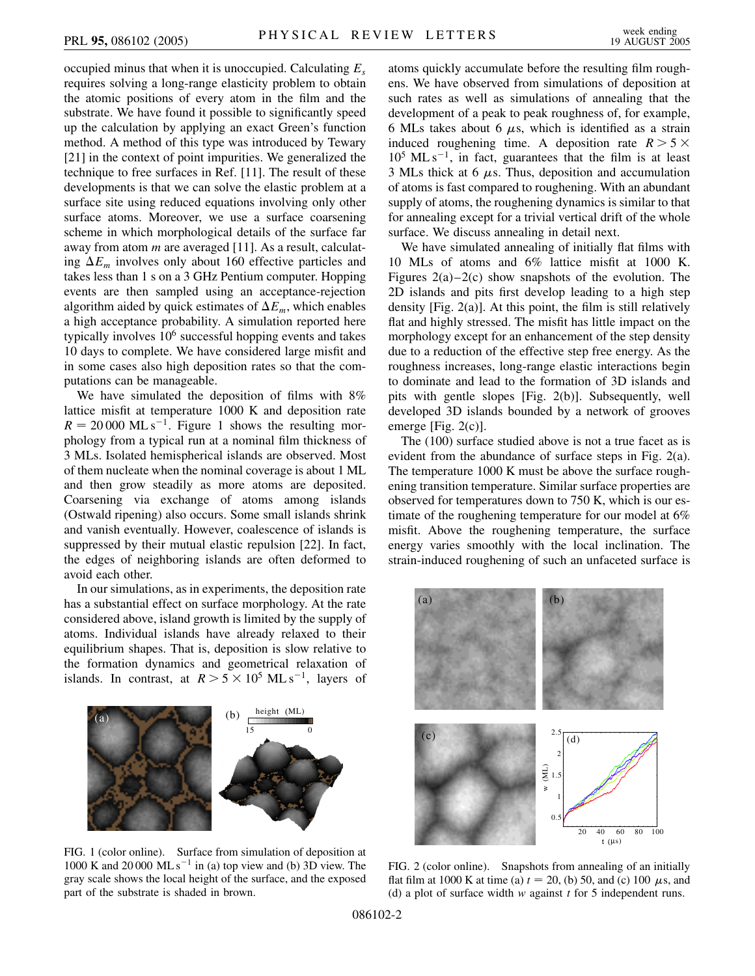occupied minus that when it is unoccupied. Calculating *Es* requires solving a long-range elasticity problem to obtain the atomic positions of every atom in the film and the substrate. We have found it possible to significantly speed up the calculation by applying an exact Green's function method. A method of this type was introduced by Tewary [21] in the context of point impurities. We generalized the technique to free surfaces in Ref. [11]. The result of these developments is that we can solve the elastic problem at a surface site using reduced equations involving only other surface atoms. Moreover, we use a surface coarsening scheme in which morphological details of the surface far away from atom *m* are averaged [11]. As a result, calculating  $\Delta E_m$  involves only about 160 effective particles and takes less than 1 s on a 3 GHz Pentium computer. Hopping events are then sampled using an acceptance-rejection algorithm aided by quick estimates of  $\Delta E_m$ , which enables a high acceptance probability. A simulation reported here typically involves  $10<sup>6</sup>$  successful hopping events and takes 10 days to complete. We have considered large misfit and in some cases also high deposition rates so that the computations can be manageable.

We have simulated the deposition of films with  $8\%$ lattice misfit at temperature 1000 K and deposition rate  $R = 20000 \text{ ML s}^{-1}$ . Figure 1 shows the resulting morphology from a typical run at a nominal film thickness of 3 MLs. Isolated hemispherical islands are observed. Most of them nucleate when the nominal coverage is about 1 ML and then grow steadily as more atoms are deposited. Coarsening via exchange of atoms among islands (Ostwald ripening) also occurs. Some small islands shrink and vanish eventually. However, coalescence of islands is suppressed by their mutual elastic repulsion [22]. In fact, the edges of neighboring islands are often deformed to avoid each other.

In our simulations, as in experiments, the deposition rate has a substantial effect on surface morphology. At the rate considered above, island growth is limited by the supply of atoms. Individual islands have already relaxed to their equilibrium shapes. That is, deposition is slow relative to the formation dynamics and geometrical relaxation of islands. In contrast, at  $R > 5 \times 10^5$  ML s<sup>-1</sup>, layers of



FIG. 1 (color online). Surface from simulation of deposition at 1000 K and 20 000 ML s<sup>-1</sup> in (a) top view and (b) 3D view. The gray scale shows the local height of the surface, and the exposed part of the substrate is shaded in brown.

atoms quickly accumulate before the resulting film roughens. We have observed from simulations of deposition at such rates as well as simulations of annealing that the development of a peak to peak roughness of, for example, 6 MLs takes about 6  $\mu$ s, which is identified as a strain induced roughening time. A deposition rate  $R > 5 \times$  $10^5$  ML s<sup>-1</sup>, in fact, guarantees that the film is at least 3 MLs thick at 6  $\mu$ s. Thus, deposition and accumulation of atoms is fast compared to roughening. With an abundant supply of atoms, the roughening dynamics is similar to that for annealing except for a trivial vertical drift of the whole surface. We discuss annealing in detail next.

We have simulated annealing of initially flat films with 10 MLs of atoms and 6% lattice misfit at 1000 K. Figures  $2(a)-2(c)$  show snapshots of the evolution. The 2D islands and pits first develop leading to a high step density [Fig. 2(a)]. At this point, the film is still relatively flat and highly stressed. The misfit has little impact on the morphology except for an enhancement of the step density due to a reduction of the effective step free energy. As the roughness increases, long-range elastic interactions begin to dominate and lead to the formation of 3D islands and pits with gentle slopes [Fig. 2(b)]. Subsequently, well developed 3D islands bounded by a network of grooves emerge [Fig. 2(c)].

The (100) surface studied above is not a true facet as is evident from the abundance of surface steps in Fig. 2(a). The temperature 1000 K must be above the surface roughening transition temperature. Similar surface properties are observed for temperatures down to 750 K, which is our estimate of the roughening temperature for our model at 6% misfit. Above the roughening temperature, the surface energy varies smoothly with the local inclination. The strain-induced roughening of such an unfaceted surface is



FIG. 2 (color online). Snapshots from annealing of an initially flat film at 1000 K at time (a)  $t = 20$ , (b) 50, and (c) 100  $\mu$ s, and (d) a plot of surface width *w* against *t* for 5 independent runs.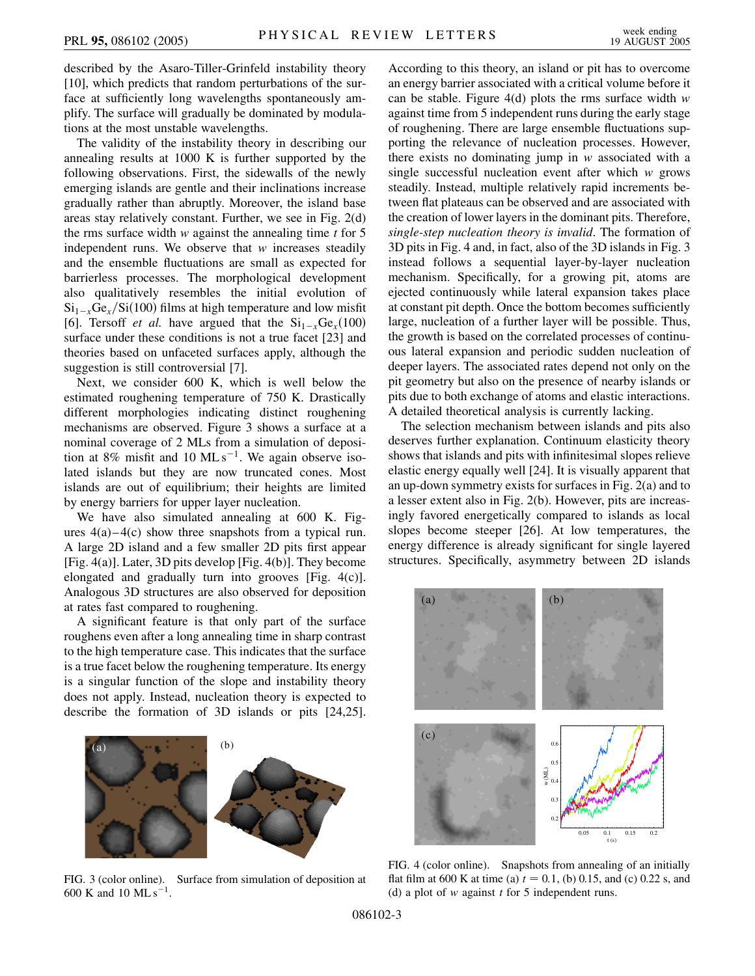described by the Asaro-Tiller-Grinfeld instability theory [10], which predicts that random perturbations of the surface at sufficiently long wavelengths spontaneously amplify. The surface will gradually be dominated by modulations at the most unstable wavelengths.

The validity of the instability theory in describing our annealing results at 1000 K is further supported by the following observations. First, the sidewalls of the newly emerging islands are gentle and their inclinations increase gradually rather than abruptly. Moreover, the island base areas stay relatively constant. Further, we see in Fig. 2(d) the rms surface width *w* against the annealing time *t* for 5 independent runs. We observe that *w* increases steadily and the ensemble fluctuations are small as expected for barrierless processes. The morphological development also qualitatively resembles the initial evolution of  $\mathrm{Si}_{1-x}\mathrm{Ge}_{x}/\mathrm{Si}(100)$  films at high temperature and low misfit [6]. Tersoff *et al.* have argued that the  $Si_{1-x}Ge_x(100)$ surface under these conditions is not a true facet [23] and theories based on unfaceted surfaces apply, although the suggestion is still controversial [7].

Next, we consider 600 K, which is well below the estimated roughening temperature of 750 K. Drastically different morphologies indicating distinct roughening mechanisms are observed. Figure 3 shows a surface at a nominal coverage of 2 MLs from a simulation of deposition at 8% misfit and 10 ML  $s^{-1}$ . We again observe isolated islands but they are now truncated cones. Most islands are out of equilibrium; their heights are limited by energy barriers for upper layer nucleation.

We have also simulated annealing at 600 K. Figures  $4(a) - 4(c)$  show three snapshots from a typical run. A large 2D island and a few smaller 2D pits first appear [Fig. 4(a)]. Later, 3D pits develop [Fig. 4(b)]. They become elongated and gradually turn into grooves [Fig. 4(c)]. Analogous 3D structures are also observed for deposition at rates fast compared to roughening.

A significant feature is that only part of the surface roughens even after a long annealing time in sharp contrast to the high temperature case. This indicates that the surface is a true facet below the roughening temperature. Its energy is a singular function of the slope and instability theory does not apply. Instead, nucleation theory is expected to describe the formation of 3D islands or pits [24,25].



FIG. 3 (color online). Surface from simulation of deposition at 600 K and 10 ML  $s^{-1}$ .

According to this theory, an island or pit has to overcome an energy barrier associated with a critical volume before it can be stable. Figure 4(d) plots the rms surface width *w* against time from 5 independent runs during the early stage of roughening. There are large ensemble fluctuations supporting the relevance of nucleation processes. However, there exists no dominating jump in *w* associated with a single successful nucleation event after which *w* grows steadily. Instead, multiple relatively rapid increments between flat plateaus can be observed and are associated with the creation of lower layers in the dominant pits. Therefore, *single-step nucleation theory is invalid*. The formation of 3D pits in Fig. 4 and, in fact, also of the 3D islands in Fig. 3 instead follows a sequential layer-by-layer nucleation mechanism. Specifically, for a growing pit, atoms are ejected continuously while lateral expansion takes place at constant pit depth. Once the bottom becomes sufficiently large, nucleation of a further layer will be possible. Thus, the growth is based on the correlated processes of continuous lateral expansion and periodic sudden nucleation of deeper layers. The associated rates depend not only on the pit geometry but also on the presence of nearby islands or pits due to both exchange of atoms and elastic interactions. A detailed theoretical analysis is currently lacking.

The selection mechanism between islands and pits also deserves further explanation. Continuum elasticity theory shows that islands and pits with infinitesimal slopes relieve elastic energy equally well [24]. It is visually apparent that an up-down symmetry exists for surfaces in Fig. 2(a) and to a lesser extent also in Fig. 2(b). However, pits are increasingly favored energetically compared to islands as local slopes become steeper [26]. At low temperatures, the energy difference is already significant for single layered structures. Specifically, asymmetry between 2D islands



FIG. 4 (color online). Snapshots from annealing of an initially flat film at 600 K at time (a)  $t = 0.1$ , (b) 0.15, and (c) 0.22 s, and (d) a plot of *w* against *t* for 5 independent runs.